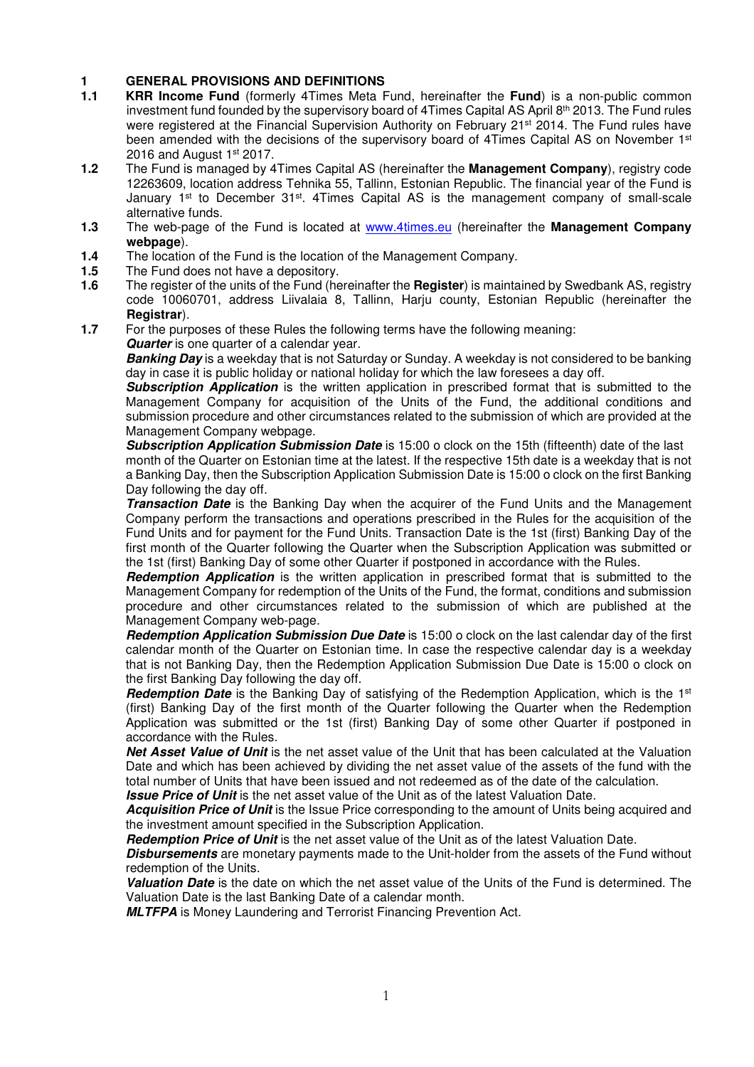#### **1 GENERAL PROVISIONS AND DEFINITIONS**

- **1.1 KRR Income Fund** (formerly 4Times Meta Fund, hereinafter the **Fund**) is a non-public common investment fund founded by the supervisory board of 4Times Capital AS April 8th 2013. The Fund rules were registered at the Financial Supervision Authority on February 21<sup>st</sup> 2014. The Fund rules have been amended with the decisions of the supervisory board of 4Times Capital AS on November 1st 2016 and August  $1<sup>st</sup> 2017$ .
- **1.2** The Fund is managed by 4Times Capital AS (hereinafter the **Management Company**), registry code 12263609, location address Tehnika 55, Tallinn, Estonian Republic. The financial year of the Fund is January 1<sup>st</sup> to December 31<sup>st</sup>. 4Times Capital AS is the management company of small-scale alternative funds.
- **1.3** The web-page of the Fund is located at www.4times.eu (hereinafter the **Management Company webpage**).
- **1.4** The location of the Fund is the location of the Management Company.
- **1.5** The Fund does not have a depository.
- **1.6** The register of the units of the Fund (hereinafter the **Register**) is maintained by Swedbank AS, registry code 10060701, address Liivalaia 8, Tallinn, Harju county, Estonian Republic (hereinafter the **Registrar**).
- **1.7** For the purposes of these Rules the following terms have the following meaning: **Quarter** is one quarter of a calendar year.

**Banking Day** is a weekday that is not Saturday or Sunday. A weekday is not considered to be banking day in case it is public holiday or national holiday for which the law foresees a day off.

**Subscription Application** is the written application in prescribed format that is submitted to the Management Company for acquisition of the Units of the Fund, the additional conditions and submission procedure and other circumstances related to the submission of which are provided at the Management Company webpage.

**Subscription Application Submission Date** is 15:00 o clock on the 15th (fifteenth) date of the last month of the Quarter on Estonian time at the latest. If the respective 15th date is a weekday that is not a Banking Day, then the Subscription Application Submission Date is 15:00 o clock on the first Banking Day following the day off.

**Transaction Date** is the Banking Day when the acquirer of the Fund Units and the Management Company perform the transactions and operations prescribed in the Rules for the acquisition of the Fund Units and for payment for the Fund Units. Transaction Date is the 1st (first) Banking Day of the first month of the Quarter following the Quarter when the Subscription Application was submitted or the 1st (first) Banking Day of some other Quarter if postponed in accordance with the Rules.

**Redemption Application** is the written application in prescribed format that is submitted to the Management Company for redemption of the Units of the Fund, the format, conditions and submission procedure and other circumstances related to the submission of which are published at the Management Company web-page.

**Redemption Application Submission Due Date** is 15:00 o clock on the last calendar day of the first calendar month of the Quarter on Estonian time. In case the respective calendar day is a weekday that is not Banking Day, then the Redemption Application Submission Due Date is 15:00 o clock on the first Banking Day following the day off.

**Redemption Date** is the Banking Day of satisfying of the Redemption Application, which is the 1st (first) Banking Day of the first month of the Quarter following the Quarter when the Redemption Application was submitted or the 1st (first) Banking Day of some other Quarter if postponed in accordance with the Rules.

**Net Asset Value of Unit** is the net asset value of the Unit that has been calculated at the Valuation Date and which has been achieved by dividing the net asset value of the assets of the fund with the total number of Units that have been issued and not redeemed as of the date of the calculation. **Issue Price of Unit** is the net asset value of the Unit as of the latest Valuation Date.

Acquisition Price of Unit is the Issue Price corresponding to the amount of Units being acquired and the investment amount specified in the Subscription Application.

**Redemption Price of Unit** is the net asset value of the Unit as of the latest Valuation Date.

**Disbursements** are monetary payments made to the Unit-holder from the assets of the Fund without redemption of the Units.

**Valuation Date** is the date on which the net asset value of the Units of the Fund is determined. The Valuation Date is the last Banking Date of a calendar month.

**MLTFPA** is Money Laundering and Terrorist Financing Prevention Act.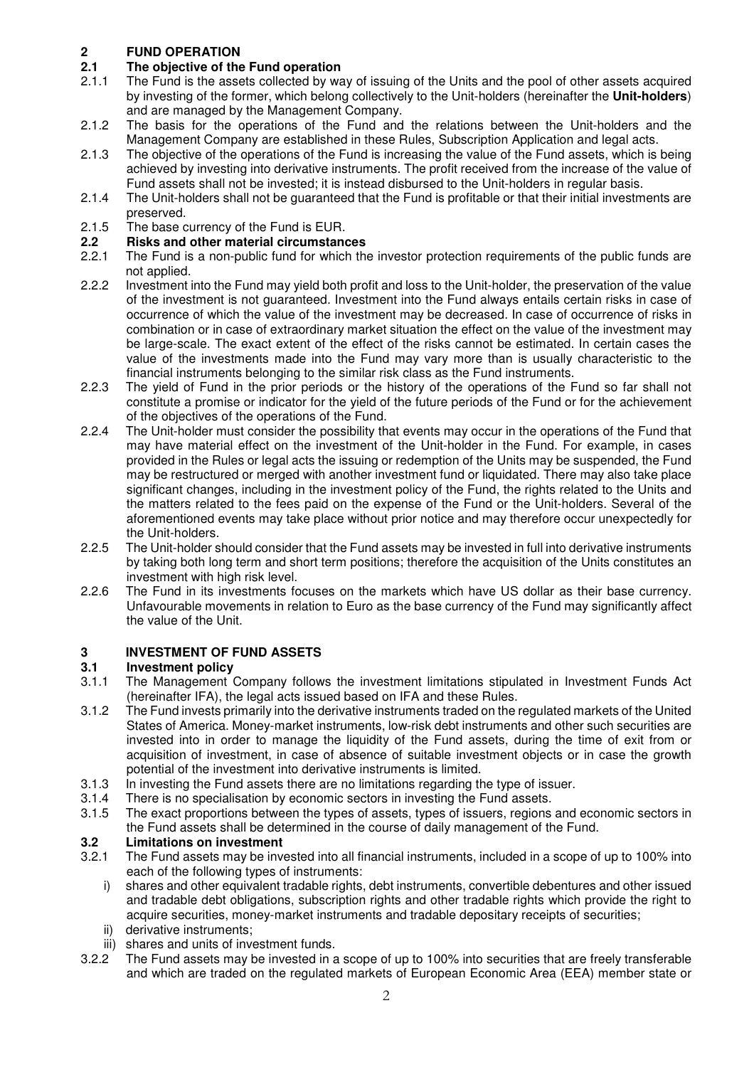# **2 FUND OPERATION**

# **2.1 The objective of the Fund operation**<br>2.1.1 The Fund is the assets collected by wa

- 2.1.1 The Fund is the assets collected by way of issuing of the Units and the pool of other assets acquired by investing of the former, which belong collectively to the Unit-holders (hereinafter the **Unit-holders**) and are managed by the Management Company.
- 2.1.2 The basis for the operations of the Fund and the relations between the Unit-holders and the Management Company are established in these Rules, Subscription Application and legal acts.
- 2.1.3 The objective of the operations of the Fund is increasing the value of the Fund assets, which is being achieved by investing into derivative instruments. The profit received from the increase of the value of Fund assets shall not be invested; it is instead disbursed to the Unit-holders in regular basis.
- 2.1.4 The Unit-holders shall not be guaranteed that the Fund is profitable or that their initial investments are preserved.
- 2.1.5 The base currency of the Fund is EUR.

### **2.2 Risks and other material circumstances**

- The Fund is a non-public fund for which the investor protection requirements of the public funds are not applied.
- 2.2.2 Investment into the Fund may yield both profit and loss to the Unit-holder, the preservation of the value of the investment is not guaranteed. Investment into the Fund always entails certain risks in case of occurrence of which the value of the investment may be decreased. In case of occurrence of risks in combination or in case of extraordinary market situation the effect on the value of the investment may be large-scale. The exact extent of the effect of the risks cannot be estimated. In certain cases the value of the investments made into the Fund may vary more than is usually characteristic to the financial instruments belonging to the similar risk class as the Fund instruments.
- 2.2.3 The yield of Fund in the prior periods or the history of the operations of the Fund so far shall not constitute a promise or indicator for the yield of the future periods of the Fund or for the achievement of the objectives of the operations of the Fund.
- 2.2.4 The Unit-holder must consider the possibility that events may occur in the operations of the Fund that may have material effect on the investment of the Unit-holder in the Fund. For example, in cases provided in the Rules or legal acts the issuing or redemption of the Units may be suspended, the Fund may be restructured or merged with another investment fund or liquidated. There may also take place significant changes, including in the investment policy of the Fund, the rights related to the Units and the matters related to the fees paid on the expense of the Fund or the Unit-holders. Several of the aforementioned events may take place without prior notice and may therefore occur unexpectedly for the Unit-holders.
- 2.2.5 The Unit-holder should consider that the Fund assets may be invested in full into derivative instruments by taking both long term and short term positions; therefore the acquisition of the Units constitutes an investment with high risk level.
- 2.2.6 The Fund in its investments focuses on the markets which have US dollar as their base currency. Unfavourable movements in relation to Euro as the base currency of the Fund may significantly affect the value of the Unit.

### **3 INVESTMENT OF FUND ASSETS**

### **3.1 Investment policy**

- 3.1.1 The Management Company follows the investment limitations stipulated in Investment Funds Act (hereinafter IFA), the legal acts issued based on IFA and these Rules.
- 3.1.2 The Fund invests primarily into the derivative instruments traded on the regulated markets of the United States of America. Money-market instruments, low-risk debt instruments and other such securities are invested into in order to manage the liquidity of the Fund assets, during the time of exit from or acquisition of investment, in case of absence of suitable investment objects or in case the growth potential of the investment into derivative instruments is limited.
- 3.1.3 In investing the Fund assets there are no limitations regarding the type of issuer.
- 3.1.4 There is no specialisation by economic sectors in investing the Fund assets.
- 3.1.5 The exact proportions between the types of assets, types of issuers, regions and economic sectors in the Fund assets shall be determined in the course of daily management of the Fund.

# **3.2 Limitations on investment**<br>**3.2.1** The Fund assets may be inve

- 3.2.1 The Fund assets may be invested into all financial instruments, included in a scope of up to 100% into each of the following types of instruments:
	- i) shares and other equivalent tradable rights, debt instruments, convertible debentures and other issued and tradable debt obligations, subscription rights and other tradable rights which provide the right to acquire securities, money-market instruments and tradable depositary receipts of securities; ii) derivative instruments;
	-
- iii) shares and units of investment funds.
- 3.2.2 The Fund assets may be invested in a scope of up to 100% into securities that are freely transferable and which are traded on the regulated markets of European Economic Area (EEA) member state or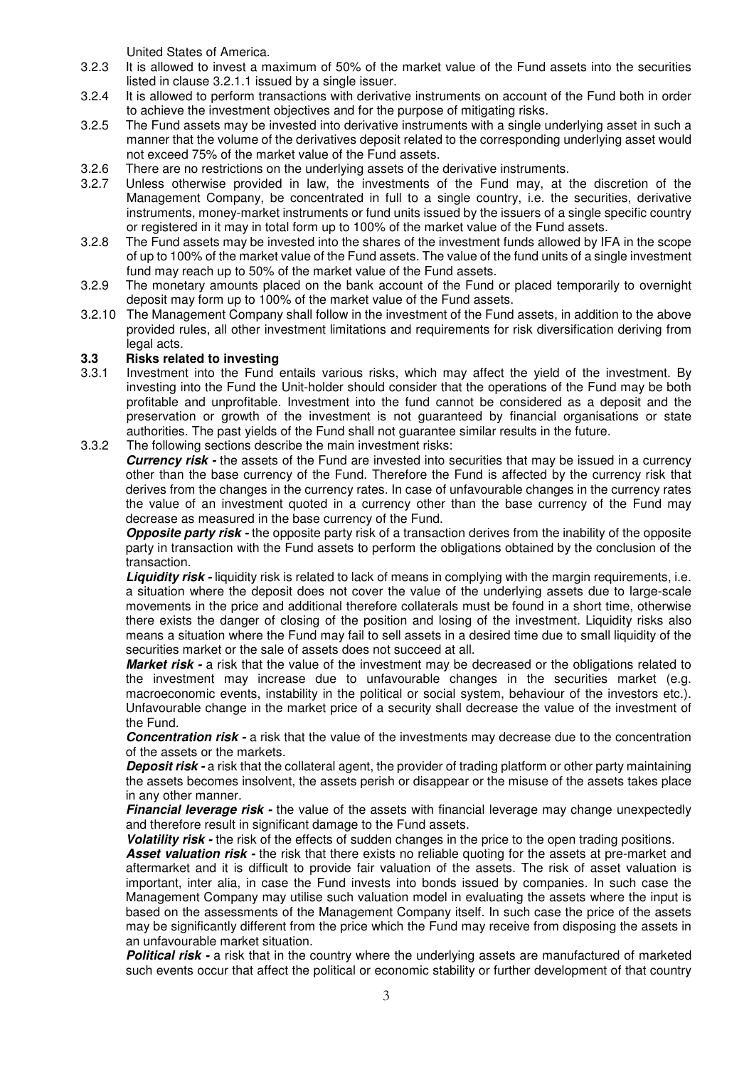United States of America.

- 3.2.3 It is allowed to invest a maximum of 50% of the market value of the Fund assets into the securities listed in clause 3.2.1.1 issued by a single issuer.
- 3.2.4 It is allowed to perform transactions with derivative instruments on account of the Fund both in order to achieve the investment objectives and for the purpose of mitigating risks.
- 3.2.5 The Fund assets may be invested into derivative instruments with a single underlying asset in such a manner that the volume of the derivatives deposit related to the corresponding underlying asset would not exceed 75% of the market value of the Fund assets.
- 3.2.6 There are no restrictions on the underlying assets of the derivative instruments.
- 3.2.7 Unless otherwise provided in law, the investments of the Fund may, at the discretion of the Management Company, be concentrated in full to a single country, i.e. the securities, derivative instruments, money-market instruments or fund units issued by the issuers of a single specific country or registered in it may in total form up to 100% of the market value of the Fund assets.
- 3.2.8 The Fund assets may be invested into the shares of the investment funds allowed by IFA in the scope of up to 100% of the market value of the Fund assets. The value of the fund units of a single investment fund may reach up to 50% of the market value of the Fund assets.
- 3.2.9 The monetary amounts placed on the bank account of the Fund or placed temporarily to overnight deposit may form up to 100% of the market value of the Fund assets.
- 3.2.10 The Management Company shall follow in the investment of the Fund assets, in addition to the above provided rules, all other investment limitations and requirements for risk diversification deriving from legal acts.

#### **3.3 Risks related to investing**

- 3.3.1 Investment into the Fund entails various risks, which may affect the yield of the investment. By investing into the Fund the Unit-holder should consider that the operations of the Fund may be both profitable and unprofitable. Investment into the fund cannot be considered as a deposit and the preservation or growth of the investment is not guaranteed by financial organisations or state authorities. The past yields of the Fund shall not guarantee similar results in the future.
- 3.3.2 The following sections describe the main investment risks:

**Currency risk** - the assets of the Fund are invested into securities that may be issued in a currency other than the base currency of the Fund. Therefore the Fund is affected by the currency risk that derives from the changes in the currency rates. In case of unfavourable changes in the currency rates the value of an investment quoted in a currency other than the base currency of the Fund may decrease as measured in the base currency of the Fund.

**Opposite party risk -** the opposite party risk of a transaction derives from the inability of the opposite party in transaction with the Fund assets to perform the obligations obtained by the conclusion of the transaction.

**Liquidity risk -** liquidity risk is related to lack of means in complying with the margin requirements, i.e. a situation where the deposit does not cover the value of the underlying assets due to large-scale movements in the price and additional therefore collaterals must be found in a short time, otherwise there exists the danger of closing of the position and losing of the investment. Liquidity risks also means a situation where the Fund may fail to sell assets in a desired time due to small liquidity of the securities market or the sale of assets does not succeed at all.

**Market risk -** a risk that the value of the investment may be decreased or the obligations related to the investment may increase due to unfavourable changes in the securities market (e.g. macroeconomic events, instability in the political or social system, behaviour of the investors etc.). Unfavourable change in the market price of a security shall decrease the value of the investment of the Fund.

**Concentration risk -** a risk that the value of the investments may decrease due to the concentration of the assets or the markets.

**Deposit risk -** a risk that the collateral agent, the provider of trading platform or other party maintaining the assets becomes insolvent, the assets perish or disappear or the misuse of the assets takes place in any other manner.

**Financial leverage risk -** the value of the assets with financial leverage may change unexpectedly and therefore result in significant damage to the Fund assets.

**Volatility risk -** the risk of the effects of sudden changes in the price to the open trading positions.

**Asset valuation risk -** the risk that there exists no reliable quoting for the assets at pre-market and aftermarket and it is difficult to provide fair valuation of the assets. The risk of asset valuation is important, inter alia, in case the Fund invests into bonds issued by companies. In such case the Management Company may utilise such valuation model in evaluating the assets where the input is based on the assessments of the Management Company itself. In such case the price of the assets may be significantly different from the price which the Fund may receive from disposing the assets in an unfavourable market situation.

**Political risk -** a risk that in the country where the underlying assets are manufactured of marketed such events occur that affect the political or economic stability or further development of that country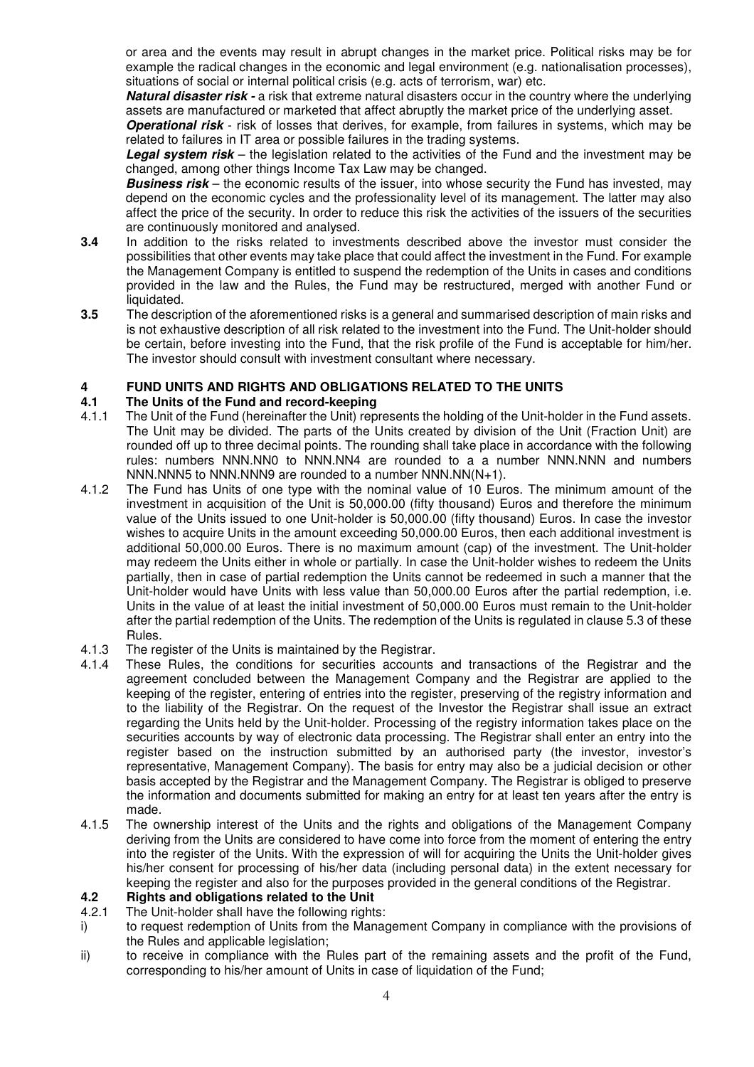or area and the events may result in abrupt changes in the market price. Political risks may be for example the radical changes in the economic and legal environment (e.g. nationalisation processes), situations of social or internal political crisis (e.g. acts of terrorism, war) etc.

**Natural disaster risk - a** risk that extreme natural disasters occur in the country where the underlying assets are manufactured or marketed that affect abruptly the market price of the underlying asset.

**Operational risk** - risk of losses that derives, for example, from failures in systems, which may be related to failures in IT area or possible failures in the trading systems.

**Legal system risk** – the legislation related to the activities of the Fund and the investment may be changed, among other things Income Tax Law may be changed.

**Business risk** – the economic results of the issuer, into whose security the Fund has invested, may depend on the economic cycles and the professionality level of its management. The latter may also affect the price of the security. In order to reduce this risk the activities of the issuers of the securities are continuously monitored and analysed.

- **3.4** In addition to the risks related to investments described above the investor must consider the possibilities that other events may take place that could affect the investment in the Fund. For example the Management Company is entitled to suspend the redemption of the Units in cases and conditions provided in the law and the Rules, the Fund may be restructured, merged with another Fund or liquidated.
- **3.5** The description of the aforementioned risks is a general and summarised description of main risks and is not exhaustive description of all risk related to the investment into the Fund. The Unit-holder should be certain, before investing into the Fund, that the risk profile of the Fund is acceptable for him/her. The investor should consult with investment consultant where necessary.

#### **4 FUND UNITS AND RIGHTS AND OBLIGATIONS RELATED TO THE UNITS**

#### **4.1 The Units of the Fund and record-keeping**

- 4.1.1 The Unit of the Fund (hereinafter the Unit) represents the holding of the Unit-holder in the Fund assets. The Unit may be divided. The parts of the Units created by division of the Unit (Fraction Unit) are rounded off up to three decimal points. The rounding shall take place in accordance with the following rules: numbers NNN.NN0 to NNN.NN4 are rounded to a a number NNN.NNN and numbers NNN.NNN5 to NNN.NNN9 are rounded to a number NNN.NN(N+1).
- 4.1.2 The Fund has Units of one type with the nominal value of 10 Euros. The minimum amount of the investment in acquisition of the Unit is 50,000.00 (fifty thousand) Euros and therefore the minimum value of the Units issued to one Unit-holder is 50,000.00 (fifty thousand) Euros. In case the investor wishes to acquire Units in the amount exceeding 50,000.00 Euros, then each additional investment is additional 50,000.00 Euros. There is no maximum amount (cap) of the investment. The Unit-holder may redeem the Units either in whole or partially. In case the Unit-holder wishes to redeem the Units partially, then in case of partial redemption the Units cannot be redeemed in such a manner that the Unit-holder would have Units with less value than 50,000.00 Euros after the partial redemption, i.e. Units in the value of at least the initial investment of 50,000.00 Euros must remain to the Unit-holder after the partial redemption of the Units. The redemption of the Units is regulated in clause 5.3 of these Rules.
- 4.1.3 The register of the Units is maintained by the Registrar.
- 4.1.4 These Rules, the conditions for securities accounts and transactions of the Registrar and the agreement concluded between the Management Company and the Registrar are applied to the keeping of the register, entering of entries into the register, preserving of the registry information and to the liability of the Registrar. On the request of the Investor the Registrar shall issue an extract regarding the Units held by the Unit-holder. Processing of the registry information takes place on the securities accounts by way of electronic data processing. The Registrar shall enter an entry into the register based on the instruction submitted by an authorised party (the investor, investor's representative, Management Company). The basis for entry may also be a judicial decision or other basis accepted by the Registrar and the Management Company. The Registrar is obliged to preserve the information and documents submitted for making an entry for at least ten years after the entry is made.
- 4.1.5 The ownership interest of the Units and the rights and obligations of the Management Company deriving from the Units are considered to have come into force from the moment of entering the entry into the register of the Units. With the expression of will for acquiring the Units the Unit-holder gives his/her consent for processing of his/her data (including personal data) in the extent necessary for keeping the register and also for the purposes provided in the general conditions of the Registrar.

#### **4.2 Rights and obligations related to the Unit**

- 4.2.1 The Unit-holder shall have the following rights:
- i) to request redemption of Units from the Management Company in compliance with the provisions of the Rules and applicable legislation;
- ii) to receive in compliance with the Rules part of the remaining assets and the profit of the Fund, corresponding to his/her amount of Units in case of liquidation of the Fund;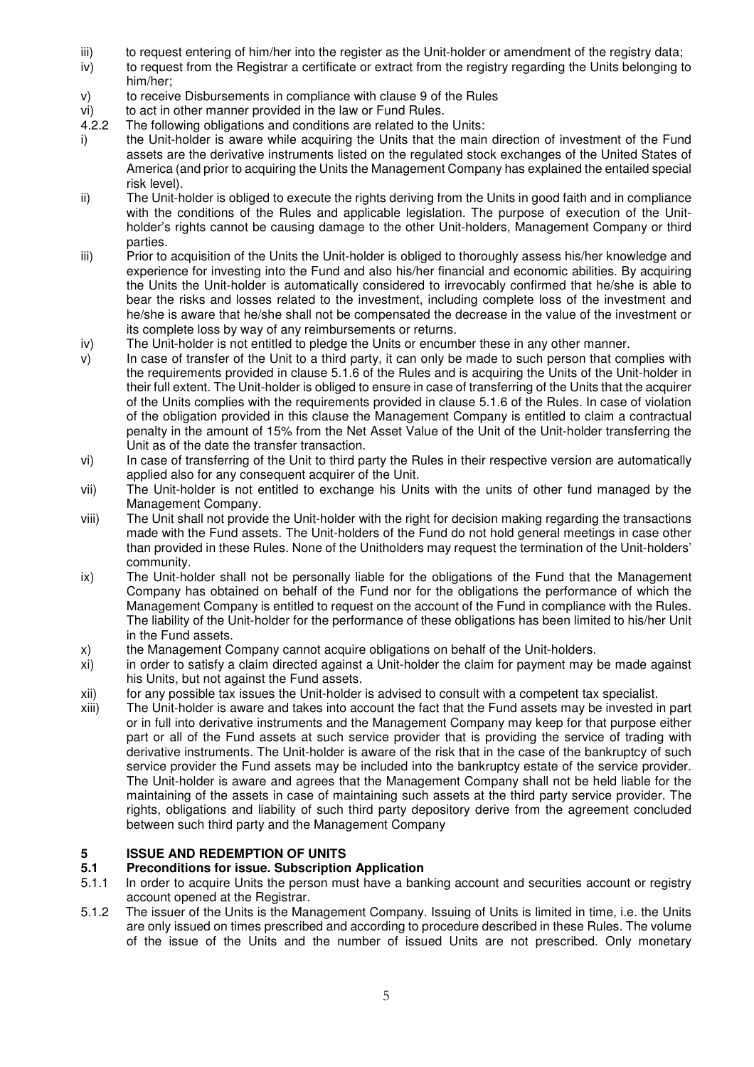- iii) to request entering of him/her into the register as the Unit-holder or amendment of the registry data;
- iv) to request from the Registrar a certificate or extract from the registry regarding the Units belonging to him/her;
- v) to receive Disbursements in compliance with clause 9 of the Rules
- vi) to act in other manner provided in the law or Fund Rules.<br>4.2.2 The following obligations and conditions are related to the
- The following obligations and conditions are related to the Units:
- i) the Unit-holder is aware while acquiring the Units that the main direction of investment of the Fund assets are the derivative instruments listed on the regulated stock exchanges of the United States of America (and prior to acquiring the Units the Management Company has explained the entailed special risk level).
- ii) The Unit-holder is obliged to execute the rights deriving from the Units in good faith and in compliance with the conditions of the Rules and applicable legislation. The purpose of execution of the Unitholder's rights cannot be causing damage to the other Unit-holders, Management Company or third parties.
- iii) Prior to acquisition of the Units the Unit-holder is obliged to thoroughly assess his/her knowledge and experience for investing into the Fund and also his/her financial and economic abilities. By acquiring the Units the Unit-holder is automatically considered to irrevocably confirmed that he/she is able to bear the risks and losses related to the investment, including complete loss of the investment and he/she is aware that he/she shall not be compensated the decrease in the value of the investment or its complete loss by way of any reimbursements or returns.
- iv) The Unit-holder is not entitled to pledge the Units or encumber these in any other manner.
- v) In case of transfer of the Unit to a third party, it can only be made to such person that complies with the requirements provided in clause 5.1.6 of the Rules and is acquiring the Units of the Unit-holder in their full extent. The Unit-holder is obliged to ensure in case of transferring of the Units that the acquirer of the Units complies with the requirements provided in clause 5.1.6 of the Rules. In case of violation of the obligation provided in this clause the Management Company is entitled to claim a contractual penalty in the amount of 15% from the Net Asset Value of the Unit of the Unit-holder transferring the Unit as of the date the transfer transaction.
- vi) In case of transferring of the Unit to third party the Rules in their respective version are automatically applied also for any consequent acquirer of the Unit.
- vii) The Unit-holder is not entitled to exchange his Units with the units of other fund managed by the Management Company.
- viii) The Unit shall not provide the Unit-holder with the right for decision making regarding the transactions made with the Fund assets. The Unit-holders of the Fund do not hold general meetings in case other than provided in these Rules. None of the Unitholders may request the termination of the Unit-holders' community.
- ix) The Unit-holder shall not be personally liable for the obligations of the Fund that the Management Company has obtained on behalf of the Fund nor for the obligations the performance of which the Management Company is entitled to request on the account of the Fund in compliance with the Rules. The liability of the Unit-holder for the performance of these obligations has been limited to his/her Unit in the Fund assets.
- x) the Management Company cannot acquire obligations on behalf of the Unit-holders.
- xi) in order to satisfy a claim directed against a Unit-holder the claim for payment may be made against his Units, but not against the Fund assets.
- xii) for any possible tax issues the Unit-holder is advised to consult with a competent tax specialist.
- xiii) The Unit-holder is aware and takes into account the fact that the Fund assets may be invested in part or in full into derivative instruments and the Management Company may keep for that purpose either part or all of the Fund assets at such service provider that is providing the service of trading with derivative instruments. The Unit-holder is aware of the risk that in the case of the bankruptcy of such service provider the Fund assets may be included into the bankruptcy estate of the service provider. The Unit-holder is aware and agrees that the Management Company shall not be held liable for the maintaining of the assets in case of maintaining such assets at the third party service provider. The rights, obligations and liability of such third party depository derive from the agreement concluded between such third party and the Management Company

## **5 ISSUE AND REDEMPTION OF UNITS**<br>**5.1** Preconditions for issue. Subscription

#### **5.1 Preconditions for issue. Subscription Application**

- 5.1.1 In order to acquire Units the person must have a banking account and securities account or registry account opened at the Registrar.
- 5.1.2 The issuer of the Units is the Management Company. Issuing of Units is limited in time, i.e. the Units are only issued on times prescribed and according to procedure described in these Rules. The volume of the issue of the Units and the number of issued Units are not prescribed. Only monetary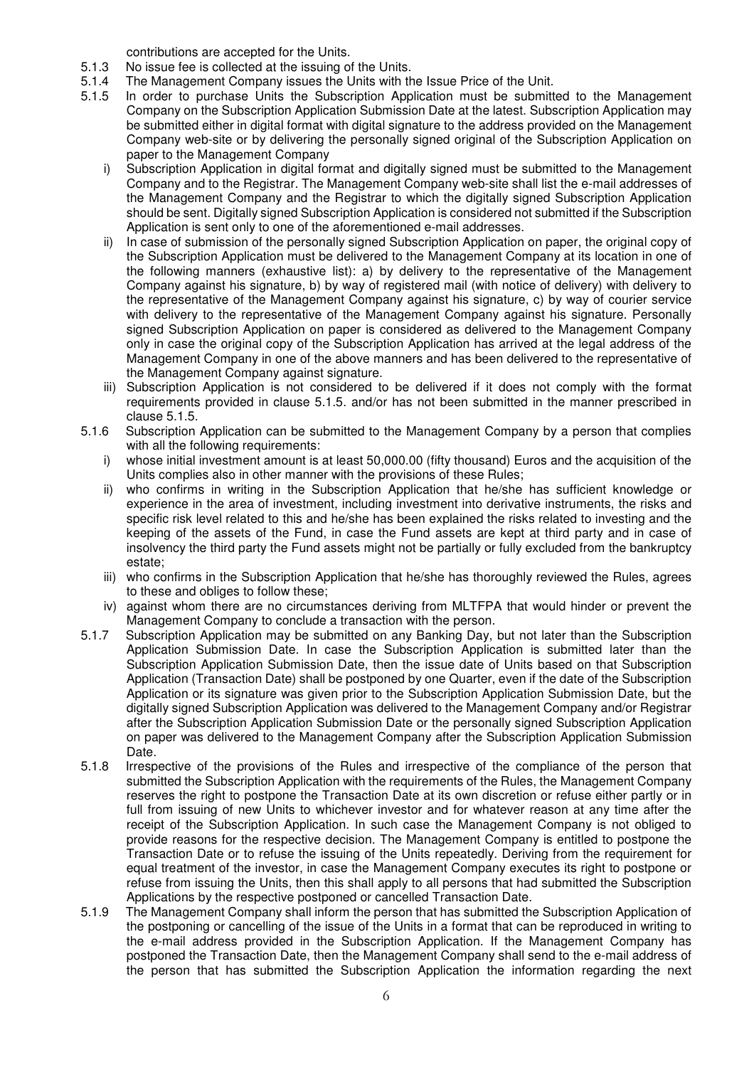contributions are accepted for the Units.

- 5.1.3 No issue fee is collected at the issuing of the Units.
- 5.1.4 The Management Company issues the Units with the Issue Price of the Unit.
- 5.1.5 In order to purchase Units the Subscription Application must be submitted to the Management Company on the Subscription Application Submission Date at the latest. Subscription Application may be submitted either in digital format with digital signature to the address provided on the Management Company web-site or by delivering the personally signed original of the Subscription Application on paper to the Management Company
	- i) Subscription Application in digital format and digitally signed must be submitted to the Management Company and to the Registrar. The Management Company web-site shall list the e-mail addresses of the Management Company and the Registrar to which the digitally signed Subscription Application should be sent. Digitally signed Subscription Application is considered not submitted if the Subscription Application is sent only to one of the aforementioned e-mail addresses.
	- ii) In case of submission of the personally signed Subscription Application on paper, the original copy of the Subscription Application must be delivered to the Management Company at its location in one of the following manners (exhaustive list): a) by delivery to the representative of the Management Company against his signature, b) by way of registered mail (with notice of delivery) with delivery to the representative of the Management Company against his signature, c) by way of courier service with delivery to the representative of the Management Company against his signature. Personally signed Subscription Application on paper is considered as delivered to the Management Company only in case the original copy of the Subscription Application has arrived at the legal address of the Management Company in one of the above manners and has been delivered to the representative of the Management Company against signature.
	- iii) Subscription Application is not considered to be delivered if it does not comply with the format requirements provided in clause 5.1.5. and/or has not been submitted in the manner prescribed in clause 5.1.5.
- 5.1.6 Subscription Application can be submitted to the Management Company by a person that complies with all the following requirements:
	- i) whose initial investment amount is at least 50,000.00 (fifty thousand) Euros and the acquisition of the Units complies also in other manner with the provisions of these Rules;
	- ii) who confirms in writing in the Subscription Application that he/she has sufficient knowledge or experience in the area of investment, including investment into derivative instruments, the risks and specific risk level related to this and he/she has been explained the risks related to investing and the keeping of the assets of the Fund, in case the Fund assets are kept at third party and in case of insolvency the third party the Fund assets might not be partially or fully excluded from the bankruptcy estate;
	- iii) who confirms in the Subscription Application that he/she has thoroughly reviewed the Rules, agrees to these and obliges to follow these;
	- iv) against whom there are no circumstances deriving from MLTFPA that would hinder or prevent the Management Company to conclude a transaction with the person.
- 5.1.7 Subscription Application may be submitted on any Banking Day, but not later than the Subscription Application Submission Date. In case the Subscription Application is submitted later than the Subscription Application Submission Date, then the issue date of Units based on that Subscription Application (Transaction Date) shall be postponed by one Quarter, even if the date of the Subscription Application or its signature was given prior to the Subscription Application Submission Date, but the digitally signed Subscription Application was delivered to the Management Company and/or Registrar after the Subscription Application Submission Date or the personally signed Subscription Application on paper was delivered to the Management Company after the Subscription Application Submission Date.
- 5.1.8 Irrespective of the provisions of the Rules and irrespective of the compliance of the person that submitted the Subscription Application with the requirements of the Rules, the Management Company reserves the right to postpone the Transaction Date at its own discretion or refuse either partly or in full from issuing of new Units to whichever investor and for whatever reason at any time after the receipt of the Subscription Application. In such case the Management Company is not obliged to provide reasons for the respective decision. The Management Company is entitled to postpone the Transaction Date or to refuse the issuing of the Units repeatedly. Deriving from the requirement for equal treatment of the investor, in case the Management Company executes its right to postpone or refuse from issuing the Units, then this shall apply to all persons that had submitted the Subscription Applications by the respective postponed or cancelled Transaction Date.
- 5.1.9 The Management Company shall inform the person that has submitted the Subscription Application of the postponing or cancelling of the issue of the Units in a format that can be reproduced in writing to the e-mail address provided in the Subscription Application. If the Management Company has postponed the Transaction Date, then the Management Company shall send to the e-mail address of the person that has submitted the Subscription Application the information regarding the next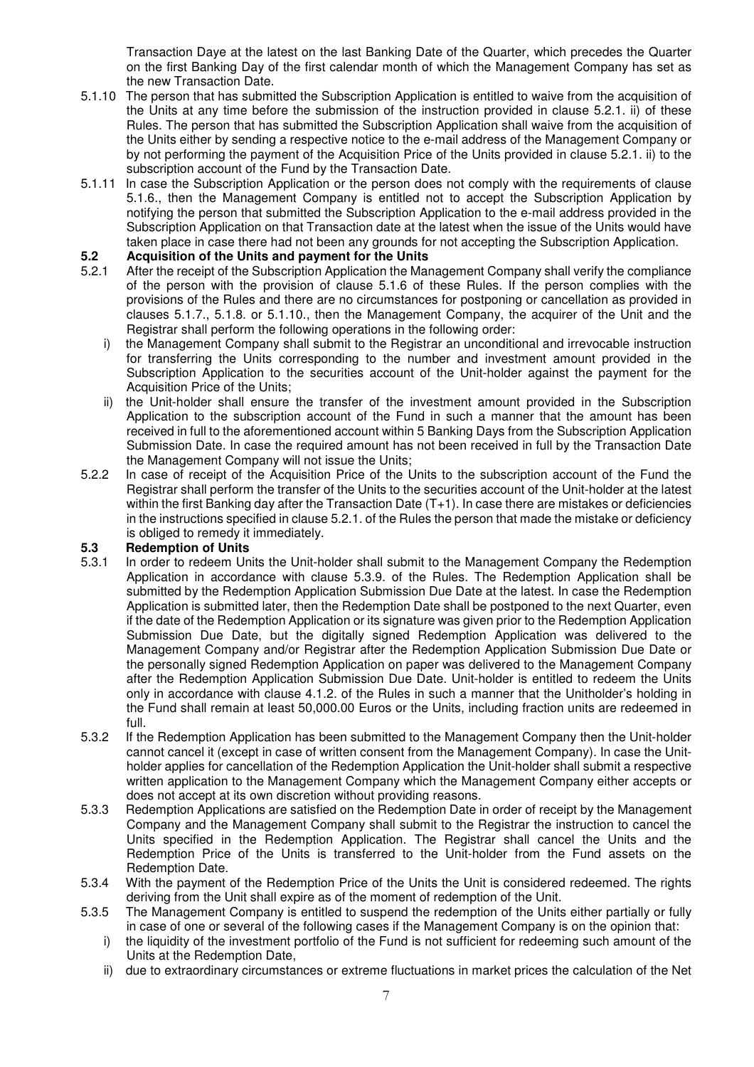Transaction Daye at the latest on the last Banking Date of the Quarter, which precedes the Quarter on the first Banking Day of the first calendar month of which the Management Company has set as the new Transaction Date.

- 5.1.10 The person that has submitted the Subscription Application is entitled to waive from the acquisition of the Units at any time before the submission of the instruction provided in clause 5.2.1. ii) of these Rules. The person that has submitted the Subscription Application shall waive from the acquisition of the Units either by sending a respective notice to the e-mail address of the Management Company or by not performing the payment of the Acquisition Price of the Units provided in clause 5.2.1. ii) to the subscription account of the Fund by the Transaction Date.
- 5.1.11 In case the Subscription Application or the person does not comply with the requirements of clause 5.1.6., then the Management Company is entitled not to accept the Subscription Application by notifying the person that submitted the Subscription Application to the e-mail address provided in the Subscription Application on that Transaction date at the latest when the issue of the Units would have taken place in case there had not been any grounds for not accepting the Subscription Application.

# **5.2 Acquisition of the Units and payment for the Units** 5.2.1 After the receipt of the Subscription Application the Mar

- After the receipt of the Subscription Application the Management Company shall verify the compliance of the person with the provision of clause 5.1.6 of these Rules. If the person complies with the provisions of the Rules and there are no circumstances for postponing or cancellation as provided in clauses 5.1.7., 5.1.8. or 5.1.10., then the Management Company, the acquirer of the Unit and the Registrar shall perform the following operations in the following order:
	- i) the Management Company shall submit to the Registrar an unconditional and irrevocable instruction for transferring the Units corresponding to the number and investment amount provided in the Subscription Application to the securities account of the Unit-holder against the payment for the Acquisition Price of the Units;
	- ii) the Unit-holder shall ensure the transfer of the investment amount provided in the Subscription Application to the subscription account of the Fund in such a manner that the amount has been received in full to the aforementioned account within 5 Banking Days from the Subscription Application Submission Date. In case the required amount has not been received in full by the Transaction Date the Management Company will not issue the Units;
- 5.2.2 In case of receipt of the Acquisition Price of the Units to the subscription account of the Fund the Registrar shall perform the transfer of the Units to the securities account of the Unit-holder at the latest within the first Banking day after the Transaction Date (T+1). In case there are mistakes or deficiencies in the instructions specified in clause 5.2.1. of the Rules the person that made the mistake or deficiency is obliged to remedy it immediately.

# **5.3 Redemption of Units**

- In order to redeem Units the Unit-holder shall submit to the Management Company the Redemption Application in accordance with clause 5.3.9. of the Rules. The Redemption Application shall be submitted by the Redemption Application Submission Due Date at the latest. In case the Redemption Application is submitted later, then the Redemption Date shall be postponed to the next Quarter, even if the date of the Redemption Application or its signature was given prior to the Redemption Application Submission Due Date, but the digitally signed Redemption Application was delivered to the Management Company and/or Registrar after the Redemption Application Submission Due Date or the personally signed Redemption Application on paper was delivered to the Management Company after the Redemption Application Submission Due Date. Unit-holder is entitled to redeem the Units only in accordance with clause 4.1.2. of the Rules in such a manner that the Unitholder's holding in the Fund shall remain at least 50,000.00 Euros or the Units, including fraction units are redeemed in full.
- 5.3.2 If the Redemption Application has been submitted to the Management Company then the Unit-holder cannot cancel it (except in case of written consent from the Management Company). In case the Unitholder applies for cancellation of the Redemption Application the Unit-holder shall submit a respective written application to the Management Company which the Management Company either accepts or does not accept at its own discretion without providing reasons.
- 5.3.3 Redemption Applications are satisfied on the Redemption Date in order of receipt by the Management Company and the Management Company shall submit to the Registrar the instruction to cancel the Units specified in the Redemption Application. The Registrar shall cancel the Units and the Redemption Price of the Units is transferred to the Unit-holder from the Fund assets on the Redemption Date.
- 5.3.4 With the payment of the Redemption Price of the Units the Unit is considered redeemed. The rights deriving from the Unit shall expire as of the moment of redemption of the Unit.
- 5.3.5 The Management Company is entitled to suspend the redemption of the Units either partially or fully in case of one or several of the following cases if the Management Company is on the opinion that:
	- i) the liquidity of the investment portfolio of the Fund is not sufficient for redeeming such amount of the Units at the Redemption Date,
	- ii) due to extraordinary circumstances or extreme fluctuations in market prices the calculation of the Net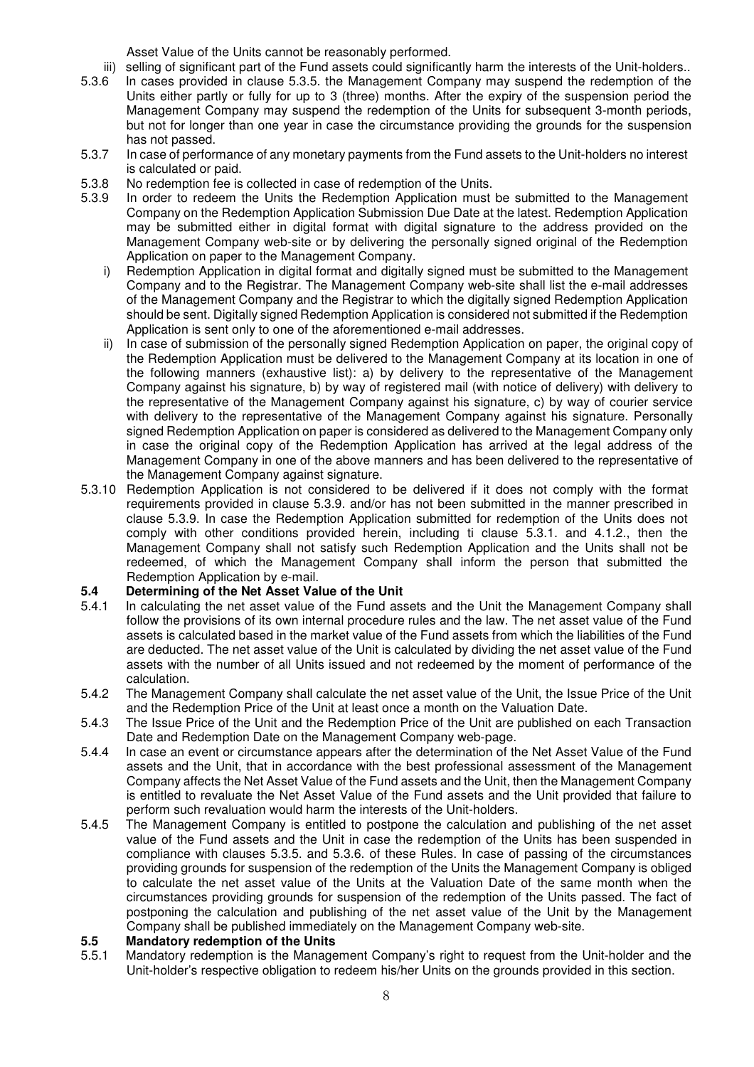Asset Value of the Units cannot be reasonably performed.

iii) selling of significant part of the Fund assets could significantly harm the interests of the Unit-holders..<br>5.3.6 In cases provided in clause 5.3.5, the Management Company may suspend the redemption of the

- In cases provided in clause 5.3.5, the Management Company may suspend the redemption of the Units either partly or fully for up to 3 (three) months. After the expiry of the suspension period the Management Company may suspend the redemption of the Units for subsequent 3-month periods, but not for longer than one year in case the circumstance providing the grounds for the suspension has not passed.
- 5.3.7 In case of performance of any monetary payments from the Fund assets to the Unit-holders no interest is calculated or paid.
- 5.3.8 No redemption fee is collected in case of redemption of the Units.
- 5.3.9 In order to redeem the Units the Redemption Application must be submitted to the Management Company on the Redemption Application Submission Due Date at the latest. Redemption Application may be submitted either in digital format with digital signature to the address provided on the Management Company web-site or by delivering the personally signed original of the Redemption Application on paper to the Management Company.
	- i) Redemption Application in digital format and digitally signed must be submitted to the Management Company and to the Registrar. The Management Company web-site shall list the e-mail addresses of the Management Company and the Registrar to which the digitally signed Redemption Application should be sent. Digitally signed Redemption Application is considered not submitted if the Redemption Application is sent only to one of the aforementioned e-mail addresses.
	- ii) In case of submission of the personally signed Redemption Application on paper, the original copy of the Redemption Application must be delivered to the Management Company at its location in one of the following manners (exhaustive list): a) by delivery to the representative of the Management Company against his signature, b) by way of registered mail (with notice of delivery) with delivery to the representative of the Management Company against his signature, c) by way of courier service with delivery to the representative of the Management Company against his signature. Personally signed Redemption Application on paper is considered as delivered to the Management Company only in case the original copy of the Redemption Application has arrived at the legal address of the Management Company in one of the above manners and has been delivered to the representative of the Management Company against signature.
- 5.3.10 Redemption Application is not considered to be delivered if it does not comply with the format requirements provided in clause 5.3.9. and/or has not been submitted in the manner prescribed in clause 5.3.9. In case the Redemption Application submitted for redemption of the Units does not comply with other conditions provided herein, including ti clause 5.3.1. and 4.1.2., then the Management Company shall not satisfy such Redemption Application and the Units shall not be redeemed, of which the Management Company shall inform the person that submitted the Redemption Application by e-mail.

#### **5.4 Determining of the Net Asset Value of the Unit**

- 5.4.1 In calculating the net asset value of the Fund assets and the Unit the Management Company shall follow the provisions of its own internal procedure rules and the law. The net asset value of the Fund assets is calculated based in the market value of the Fund assets from which the liabilities of the Fund are deducted. The net asset value of the Unit is calculated by dividing the net asset value of the Fund assets with the number of all Units issued and not redeemed by the moment of performance of the calculation.
- 5.4.2 The Management Company shall calculate the net asset value of the Unit, the Issue Price of the Unit and the Redemption Price of the Unit at least once a month on the Valuation Date.
- 5.4.3 The Issue Price of the Unit and the Redemption Price of the Unit are published on each Transaction Date and Redemption Date on the Management Company web-page.
- 5.4.4 In case an event or circumstance appears after the determination of the Net Asset Value of the Fund assets and the Unit, that in accordance with the best professional assessment of the Management Company affects the Net Asset Value of the Fund assets and the Unit, then the Management Company is entitled to revaluate the Net Asset Value of the Fund assets and the Unit provided that failure to perform such revaluation would harm the interests of the Unit-holders.
- 5.4.5 The Management Company is entitled to postpone the calculation and publishing of the net asset value of the Fund assets and the Unit in case the redemption of the Units has been suspended in compliance with clauses 5.3.5. and 5.3.6. of these Rules. In case of passing of the circumstances providing grounds for suspension of the redemption of the Units the Management Company is obliged to calculate the net asset value of the Units at the Valuation Date of the same month when the circumstances providing grounds for suspension of the redemption of the Units passed. The fact of postponing the calculation and publishing of the net asset value of the Unit by the Management Company shall be published immediately on the Management Company web-site.

#### **5.5 Mandatory redemption of the Units**

5.5.1 Mandatory redemption is the Management Company's right to request from the Unit-holder and the Unit-holder's respective obligation to redeem his/her Units on the grounds provided in this section.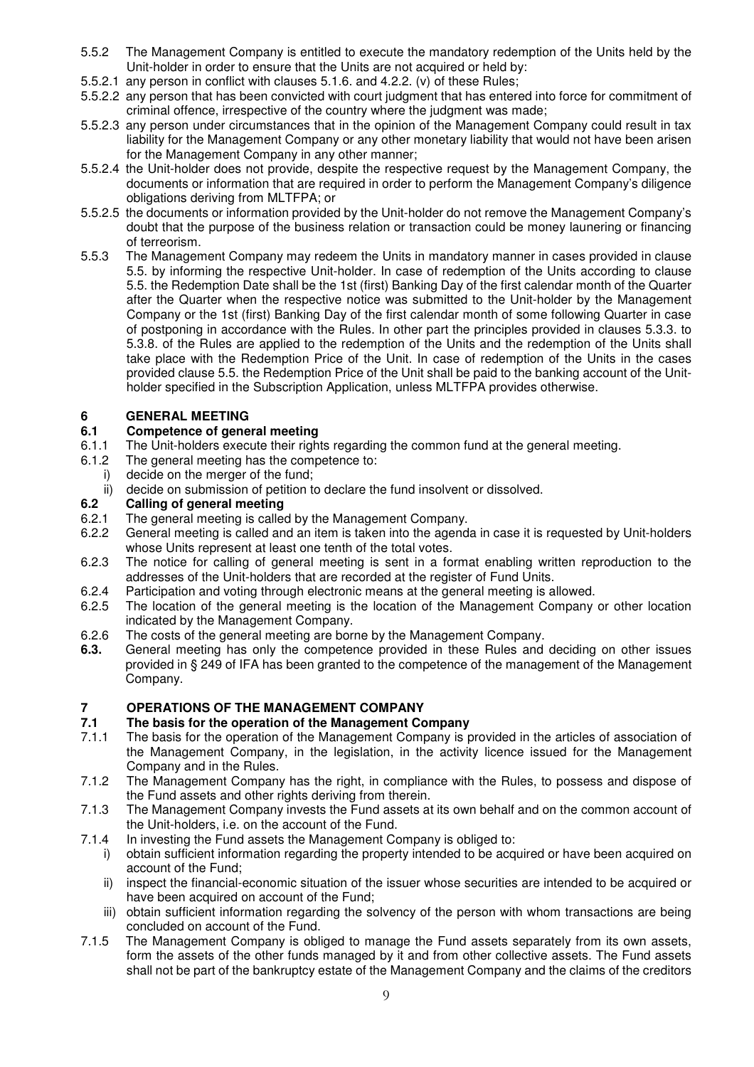- 5.5.2 The Management Company is entitled to execute the mandatory redemption of the Units held by the Unit-holder in order to ensure that the Units are not acquired or held by:
- 5.5.2.1 any person in conflict with clauses 5.1.6. and 4.2.2. (v) of these Rules;
- 5.5.2.2 any person that has been convicted with court judgment that has entered into force for commitment of criminal offence, irrespective of the country where the judgment was made;
- 5.5.2.3 any person under circumstances that in the opinion of the Management Company could result in tax liability for the Management Company or any other monetary liability that would not have been arisen for the Management Company in any other manner;
- 5.5.2.4 the Unit-holder does not provide, despite the respective request by the Management Company, the documents or information that are required in order to perform the Management Company's diligence obligations deriving from MLTFPA; or
- 5.5.2.5 the documents or information provided by the Unit-holder do not remove the Management Company's doubt that the purpose of the business relation or transaction could be money launering or financing of terreorism.
- 5.5.3 The Management Company may redeem the Units in mandatory manner in cases provided in clause 5.5. by informing the respective Unit-holder. In case of redemption of the Units according to clause 5.5. the Redemption Date shall be the 1st (first) Banking Day of the first calendar month of the Quarter after the Quarter when the respective notice was submitted to the Unit-holder by the Management Company or the 1st (first) Banking Day of the first calendar month of some following Quarter in case of postponing in accordance with the Rules. In other part the principles provided in clauses 5.3.3. to 5.3.8. of the Rules are applied to the redemption of the Units and the redemption of the Units shall take place with the Redemption Price of the Unit. In case of redemption of the Units in the cases provided clause 5.5. the Redemption Price of the Unit shall be paid to the banking account of the Unitholder specified in the Subscription Application, unless MLTFPA provides otherwise.

### **6 GENERAL MEETING**

### **6.1 Competence of general meeting**

- 6.1.1 The Unit-holders execute their rights regarding the common fund at the general meeting.
- 6.1.2 The general meeting has the competence to:
- i) decide on the merger of the fund;
- ii) decide on submission of petition to declare the fund insolvent or dissolved.

### **6.2 Calling of general meeting**

- 6.2.1 The general meeting is called by the Management Company.
- 6.2.2 General meeting is called and an item is taken into the agenda in case it is requested by Unit-holders whose Units represent at least one tenth of the total votes.
- 6.2.3 The notice for calling of general meeting is sent in a format enabling written reproduction to the addresses of the Unit-holders that are recorded at the register of Fund Units.
- 6.2.4 Participation and voting through electronic means at the general meeting is allowed.
- 6.2.5 The location of the general meeting is the location of the Management Company or other location indicated by the Management Company.
- 6.2.6 The costs of the general meeting are borne by the Management Company.
- **6.3.** General meeting has only the competence provided in these Rules and deciding on other issues provided in § 249 of IFA has been granted to the competence of the management of the Management Company.

### **7 OPERATIONS OF THE MANAGEMENT COMPANY**

### **7.1 The basis for the operation of the Management Company**

- 7.1.1 The basis for the operation of the Management Company is provided in the articles of association of the Management Company, in the legislation, in the activity licence issued for the Management Company and in the Rules.
- 7.1.2 The Management Company has the right, in compliance with the Rules, to possess and dispose of the Fund assets and other rights deriving from therein.
- 7.1.3 The Management Company invests the Fund assets at its own behalf and on the common account of the Unit-holders, i.e. on the account of the Fund.
- 7.1.4 In investing the Fund assets the Management Company is obliged to:
	- i) obtain sufficient information regarding the property intended to be acquired or have been acquired on account of the Fund;
	- ii) inspect the financial-economic situation of the issuer whose securities are intended to be acquired or have been acquired on account of the Fund;
	- iii) obtain sufficient information regarding the solvency of the person with whom transactions are being concluded on account of the Fund.
- 7.1.5 The Management Company is obliged to manage the Fund assets separately from its own assets, form the assets of the other funds managed by it and from other collective assets. The Fund assets shall not be part of the bankruptcy estate of the Management Company and the claims of the creditors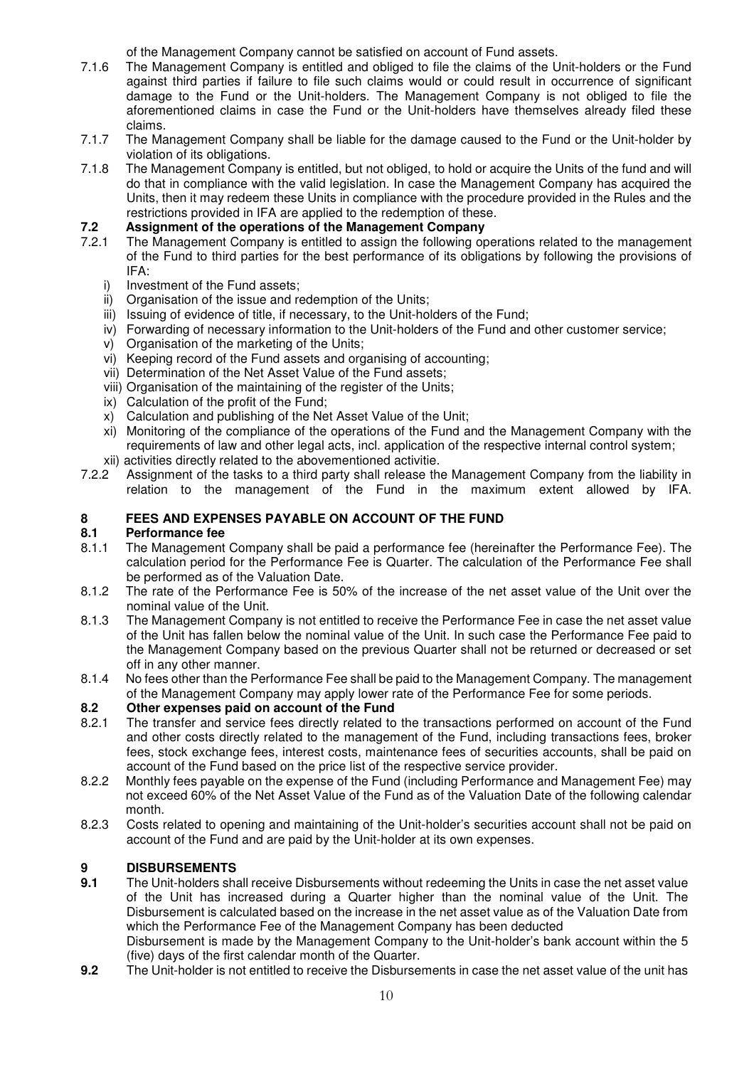of the Management Company cannot be satisfied on account of Fund assets.

- 7.1.6 The Management Company is entitled and obliged to file the claims of the Unit-holders or the Fund against third parties if failure to file such claims would or could result in occurrence of significant damage to the Fund or the Unit-holders. The Management Company is not obliged to file the aforementioned claims in case the Fund or the Unit-holders have themselves already filed these claims.
- 7.1.7 The Management Company shall be liable for the damage caused to the Fund or the Unit-holder by violation of its obligations.
- 7.1.8 The Management Company is entitled, but not obliged, to hold or acquire the Units of the fund and will do that in compliance with the valid legislation. In case the Management Company has acquired the Units, then it may redeem these Units in compliance with the procedure provided in the Rules and the restrictions provided in IFA are applied to the redemption of these.

## **7.2 Assignment of the operations of the Management Company**

- The Management Company is entitled to assign the following operations related to the management of the Fund to third parties for the best performance of its obligations by following the provisions of IFA:
	- i) Investment of the Fund assets;
	- ii) Organisation of the issue and redemption of the Units;
	- iii) Issuing of evidence of title, if necessary, to the Unit-holders of the Fund;
	- iv) Forwarding of necessary information to the Unit-holders of the Fund and other customer service;
	- v) Organisation of the marketing of the Units;
	- vi) Keeping record of the Fund assets and organising of accounting;
	- vii) Determination of the Net Asset Value of the Fund assets;
	- viii) Organisation of the maintaining of the register of the Units;
	- ix) Calculation of the profit of the Fund;
	- x) Calculation and publishing of the Net Asset Value of the Unit;
	- xi) Monitoring of the compliance of the operations of the Fund and the Management Company with the requirements of law and other legal acts, incl. application of the respective internal control system;
- xii) activities directly related to the abovementioned activitie.<br>7.2.2 Assignment of the tasks to a third party shall release the
- Assignment of the tasks to a third party shall release the Management Company from the liability in relation to the management of the Fund in the maximum extent allowed by IFA.

## **8 FEES AND EXPENSES PAYABLE ON ACCOUNT OF THE FUND**

#### **8.1 Performance fee**

- 8.1.1 The Management Company shall be paid a performance fee (hereinafter the Performance Fee). The calculation period for the Performance Fee is Quarter. The calculation of the Performance Fee shall be performed as of the Valuation Date.
- 8.1.2 The rate of the Performance Fee is 50% of the increase of the net asset value of the Unit over the nominal value of the Unit.
- 8.1.3 The Management Company is not entitled to receive the Performance Fee in case the net asset value of the Unit has fallen below the nominal value of the Unit. In such case the Performance Fee paid to the Management Company based on the previous Quarter shall not be returned or decreased or set off in any other manner.
- 8.1.4 No fees other than the Performance Fee shall be paid to the Management Company. The management of the Management Company may apply lower rate of the Performance Fee for some periods.

### **8.2 Other expenses paid on account of the Fund**

- 8.2.1 The transfer and service fees directly related to the transactions performed on account of the Fund and other costs directly related to the management of the Fund, including transactions fees, broker fees, stock exchange fees, interest costs, maintenance fees of securities accounts, shall be paid on account of the Fund based on the price list of the respective service provider.
- 8.2.2 Monthly fees payable on the expense of the Fund (including Performance and Management Fee) may not exceed 60% of the Net Asset Value of the Fund as of the Valuation Date of the following calendar month.
- 8.2.3 Costs related to opening and maintaining of the Unit-holder's securities account shall not be paid on account of the Fund and are paid by the Unit-holder at its own expenses.

### **9 DISBURSEMENTS**

- **9.1** The Unit-holders shall receive Disbursements without redeeming the Units in case the net asset value of the Unit has increased during a Quarter higher than the nominal value of the Unit. The Disbursement is calculated based on the increase in the net asset value as of the Valuation Date from which the Performance Fee of the Management Company has been deducted Disbursement is made by the Management Company to the Unit-holder's bank account within the 5 (five) days of the first calendar month of the Quarter.
- **9.2** The Unit-holder is not entitled to receive the Disbursements in case the net asset value of the unit has